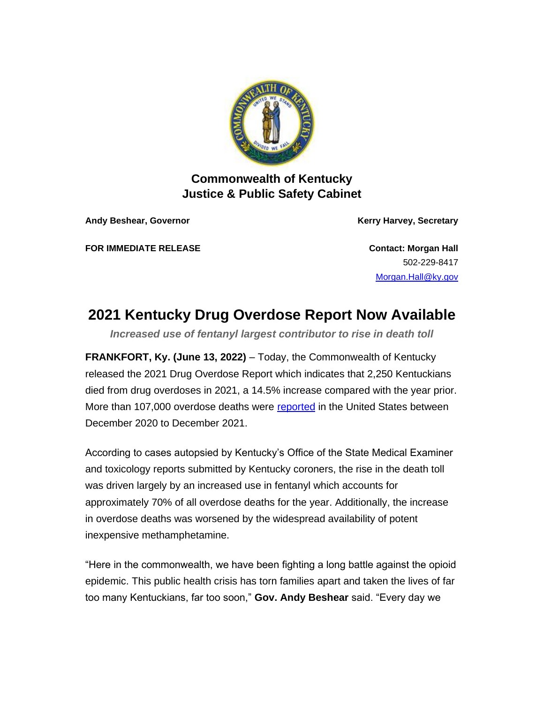

## **Commonwealth of Kentucky Justice & Public Safety Cabinet**

**Andy Beshear, Governor Kerry Harvey, Secretary**

**FOR IMMEDIATE RELEASE CONTACT EXAMPLE ASSESSED ASSESSED ASSESSED ASSESSED AT A CONTACT CONTACT CONTACT AND A CONTACT A CONTACT A CONTACT A CONTACT A CONTACT A CONTACT A CONTACT A CONTACT A CONTACT A CONTACT A CONTACT A** 

502-229-8417 [Morgan.Hall@ky.gov](mailto:Morgan.Hall@ky.gov)

## **2021 Kentucky Drug Overdose Report Now Available**

*Increased use of fentanyl largest contributor to rise in death toll*

**FRANKFORT, Ky. (June 13, 2022)** – Today, the Commonwealth of Kentucky released the 2021 Drug Overdose Report which indicates that 2,250 Kentuckians died from drug overdoses in 2021, a 14.5% increase compared with the year prior. More than 107,000 overdose deaths were [reported](https://urldefense.com/v3/__https:/www.cdc.gov/nchs/nvss/vsrr/drug-overdose-data.htm__;!!Db6frn15oIvDD3UI!gbHCfbVZgrvk-AVoXzj2AL8CC8fBvaxH9d8g-Enbhd6GxuT6yxh7OcbSBgoGr_QrtTkJddBb_bFlihfogvyXlnGG2WxkovTnyhM1uw$) in the United States between December 2020 to December 2021.

According to cases autopsied by Kentucky's Office of the State Medical Examiner and toxicology reports submitted by Kentucky coroners, the rise in the death toll was driven largely by an increased use in fentanyl which accounts for approximately 70% of all overdose deaths for the year. Additionally, the increase in overdose deaths was worsened by the widespread availability of potent inexpensive methamphetamine.

"Here in the commonwealth, we have been fighting a long battle against the opioid epidemic. This public health crisis has torn families apart and taken the lives of far too many Kentuckians, far too soon," **Gov. Andy Beshear** said. "Every day we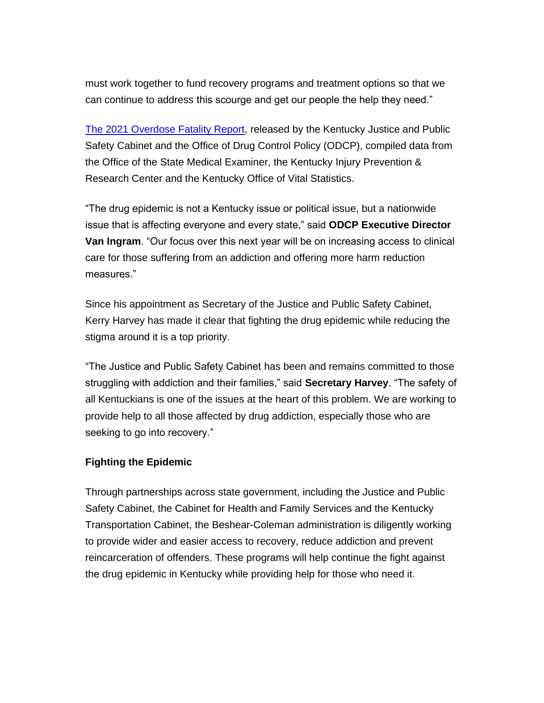must work together to fund recovery programs and treatment options so that we can continue to address this scourge and get our people the help they need."

[The 2021 Overdose Fatality Report,](https://odcp.ky.gov/Reports/2021%20Overdose%20Fatality%20Report%20%28final%29.pdf) released by the Kentucky Justice and Public Safety Cabinet and the Office of Drug Control Policy (ODCP), compiled data from the Office of the State Medical Examiner, the Kentucky Injury Prevention & Research Center and the Kentucky Office of Vital Statistics.

"The drug epidemic is not a Kentucky issue or political issue, but a nationwide issue that is affecting everyone and every state," said **ODCP Executive Director Van Ingram**. "Our focus over this next year will be on increasing access to clinical care for those suffering from an addiction and offering more harm reduction measures."

Since his appointment as Secretary of the Justice and Public Safety Cabinet, Kerry Harvey has made it clear that fighting the drug epidemic while reducing the stigma around it is a top priority.

"The Justice and Public Safety Cabinet has been and remains committed to those struggling with addiction and their families," said **Secretary Harvey**. "The safety of all Kentuckians is one of the issues at the heart of this problem. We are working to provide help to all those affected by drug addiction, especially those who are seeking to go into recovery."

## **Fighting the Epidemic**

Through partnerships across state government, including the Justice and Public Safety Cabinet, the Cabinet for Health and Family Services and the Kentucky Transportation Cabinet, the Beshear-Coleman administration is diligently working to provide wider and easier access to recovery, reduce addiction and prevent reincarceration of offenders. These programs will help continue the fight against the drug epidemic in Kentucky while providing help for those who need it.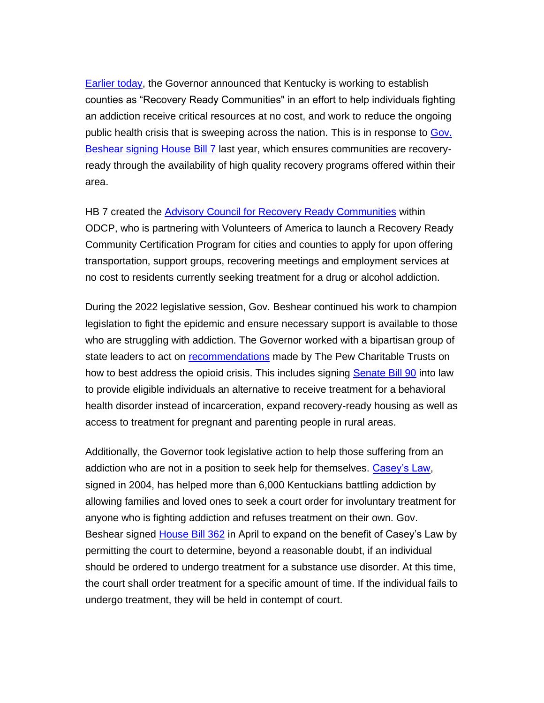[Earlier today,](https://urldefense.com/v3/__https:/kentucky.gov/Pages/Activity-stream.aspx?n=Justice&prId=111__;!!Db6frn15oIvDD3UI!gbHCfbVZgrvk-AVoXzj2AL8CC8fBvaxH9d8g-Enbhd6GxuT6yxh7OcbSBgoGr_QrtTkJddBb_bFlihfogvyXlnGG2WxkovS8VF47kw$) the Governor announced that Kentucky is working to establish counties as "Recovery Ready Communities" in an effort to help individuals fighting an addiction receive critical resources at no cost, and work to reduce the ongoing public health crisis that is sweeping across the nation. This is in response to [Gov.](https://urldefense.com/v3/__https:/kentucky.gov/Pages/Activity-stream.aspx?n=GovernorBeshear&prId=674__;!!Db6frn15oIvDD3UI!gbHCfbVZgrvk-AVoXzj2AL8CC8fBvaxH9d8g-Enbhd6GxuT6yxh7OcbSBgoGr_QrtTkJddBb_bFlihfogvyXlnGG2WxkovQCmJWCGQ$)  [Beshear signing House Bill 7](https://urldefense.com/v3/__https:/kentucky.gov/Pages/Activity-stream.aspx?n=GovernorBeshear&prId=674__;!!Db6frn15oIvDD3UI!gbHCfbVZgrvk-AVoXzj2AL8CC8fBvaxH9d8g-Enbhd6GxuT6yxh7OcbSBgoGr_QrtTkJddBb_bFlihfogvyXlnGG2WxkovQCmJWCGQ$) last year, which ensures communities are recoveryready through the availability of high quality recovery programs offered within their area.

HB 7 created the [Advisory Council for Recovery Ready Communities](https://urldefense.com/v3/__https:/kentucky.gov/Pages/Activity-stream.aspx?n=GovernorBeshear&prId=919__;!!Db6frn15oIvDD3UI!gbHCfbVZgrvk-AVoXzj2AL8CC8fBvaxH9d8g-Enbhd6GxuT6yxh7OcbSBgoGr_QrtTkJddBb_bFlihfogvyXlnGG2WxkovQ6wGkrAg$) within ODCP, who is partnering with Volunteers of America to launch a Recovery Ready Community Certification Program for cities and counties to apply for upon offering transportation, support groups, recovering meetings and employment services at no cost to residents currently seeking treatment for a drug or alcohol addiction.

During the 2022 legislative session, Gov. Beshear continued his work to champion legislation to fight the epidemic and ensure necessary support is available to those who are struggling with addiction. The Governor worked with a bipartisan group of state leaders to act on [recommendations](https://urldefense.com/v3/__https:/kentucky.gov/Pages/Activity-stream.aspx?n=Justice&prId=94__;!!Db6frn15oIvDD3UI!gbHCfbVZgrvk-AVoXzj2AL8CC8fBvaxH9d8g-Enbhd6GxuT6yxh7OcbSBgoGr_QrtTkJddBb_bFlihfogvyXlnGG2WxkovQsHNf7mg$) made by The Pew Charitable Trusts on how to best address the opioid crisis. This includes signing [Senate Bill 90](https://apps.legislature.ky.gov/recorddocuments/bill/22RS/sb90/bill.pdf) into law to provide eligible individuals an alternative to receive treatment for a behavioral health disorder instead of incarceration, expand recovery-ready housing as well as access to treatment for pregnant and parenting people in rural areas.

Additionally, the Governor took legislative action to help those suffering from an addiction who are not in a position to seek help for themselves. [Casey's Law,](https://odcp.ky.gov/Resources/Pages/Caseys-Law.aspx) signed in 2004, has helped more than 6,000 Kentuckians battling addiction by allowing families and loved ones to seek a court order for involuntary treatment for anyone who is fighting addiction and refuses treatment on their own. Gov. Beshear signed [House Bill 362](https://apps.legislature.ky.gov/recorddocuments/bill/22RS/hb362/bill.pdf) in April to expand on the benefit of Casey's Law by permitting the court to determine, beyond a reasonable doubt, if an individual should be ordered to undergo treatment for a substance use disorder. At this time, the court shall order treatment for a specific amount of time. If the individual fails to undergo treatment, they will be held in contempt of court.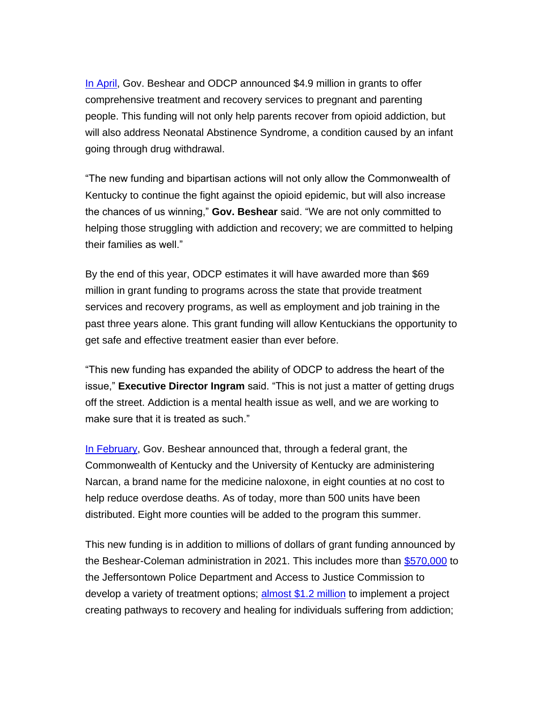[In April,](https://urldefense.com/v3/__https:/kentucky.gov/Pages/Activity-stream.aspx?n=Justice&prId=102__;!!Db6frn15oIvDD3UI!gbHCfbVZgrvk-AVoXzj2AL8CC8fBvaxH9d8g-Enbhd6GxuT6yxh7OcbSBgoGr_QrtTkJddBb_bFlihfogvyXlnGG2WxkovR8f9m8qg$) Gov. Beshear and ODCP announced \$4.9 million in grants to offer comprehensive treatment and recovery services to pregnant and parenting people. This funding will not only help parents recover from opioid addiction, but will also address Neonatal Abstinence Syndrome, a condition caused by an infant going through drug withdrawal.

"The new funding and bipartisan actions will not only allow the Commonwealth of Kentucky to continue the fight against the opioid epidemic, but will also increase the chances of us winning," **Gov. Beshear** said. "We are not only committed to helping those struggling with addiction and recovery; we are committed to helping their families as well."

By the end of this year, ODCP estimates it will have awarded more than \$69 million in grant funding to programs across the state that provide treatment services and recovery programs, as well as employment and job training in the past three years alone. This grant funding will allow Kentuckians the opportunity to get safe and effective treatment easier than ever before.

"This new funding has expanded the ability of ODCP to address the heart of the issue," **Executive Director Ingram** said. "This is not just a matter of getting drugs off the street. Addiction is a mental health issue as well, and we are working to make sure that it is treated as such."

[In February,](https://urldefense.com/v3/__https:/kentucky.gov/Pages/Activity-stream.aspx?n=Justice&prId=88__;!!Db6frn15oIvDD3UI!gbHCfbVZgrvk-AVoXzj2AL8CC8fBvaxH9d8g-Enbhd6GxuT6yxh7OcbSBgoGr_QrtTkJddBb_bFlihfogvyXlnGG2WxkovQAXo6MgQ$) Gov. Beshear announced that, through a federal grant, the Commonwealth of Kentucky and the University of Kentucky are administering Narcan, a brand name for the medicine naloxone, in eight counties at no cost to help reduce overdose deaths. As of today, more than 500 units have been distributed. Eight more counties will be added to the program this summer.

This new funding is in addition to millions of dollars of grant funding announced by the Beshear-Coleman administration in 2021. This includes more than [\\$570,000](https://urldefense.com/v3/__https:/kentucky.gov/Pages/Activity-stream.aspx?n=Justice&prId=56__;!!Db6frn15oIvDD3UI!gbHCfbVZgrvk-AVoXzj2AL8CC8fBvaxH9d8g-Enbhd6GxuT6yxh7OcbSBgoGr_QrtTkJddBb_bFlihfogvyXlnGG2WxkovTzWFZiag$) to the Jeffersontown Police Department and Access to Justice Commission to develop a variety of treatment options; [almost \\$1.2 million](https://urldefense.com/v3/__https:/kentucky.gov/Pages/Activity-stream.aspx?n=Justice&prId=64__;!!Db6frn15oIvDD3UI!gbHCfbVZgrvk-AVoXzj2AL8CC8fBvaxH9d8g-Enbhd6GxuT6yxh7OcbSBgoGr_QrtTkJddBb_bFlihfogvyXlnGG2WxkovTrOetllw$) to implement a project creating pathways to recovery and healing for individuals suffering from addiction;